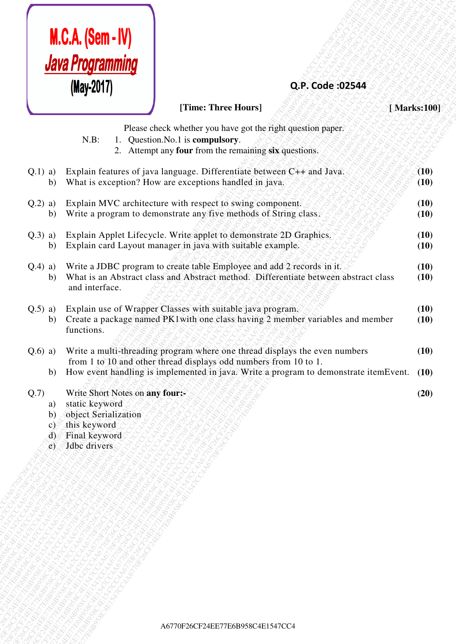

## **Q.P. Code :02544**

| Java Programming<br>(May-2017)<br>Q.P. Code: 02544<br>[Time: Three Hours]<br>[Marks:100]<br>Please check whether you have got the right question paper.<br>$N.B$ :<br>1. Question. No. 1 is compulsory.<br>2. Attempt any four from the remaining six questions.<br>Explain features of java language. Differentiate between C++ and Java.<br>(10)<br>$Q.1)$ a)<br>What is exception? How are exceptions handled in java.<br>(10)<br>b)<br>Explain MVC architecture with respect to swing component.<br>$Q.2)$ a)<br>(10)<br>Write a program to demonstrate any five methods of String class.<br>(10)<br>b)<br>Explain Applet Lifecycle. Write applet to demonstrate 2D Graphics.<br>(10)<br>$Q.3)$ a)<br>Explain card Layout manager in java with suitable example.<br>(10)<br>b)<br>Write a JDBC program to create table Employee and add 2 records in it.<br>$Q.4)$ a)<br>(10)<br>What is an Abstract class and Abstract method. Differentiate between abstract class<br>(10)<br>b)<br>and interface.<br>Explain use of Wrapper Classes with suitable java program.<br>$Q.5)$ a)<br>(10)<br>Create a package named PK1with one class having 2 member variables and member<br>(10)<br>b)<br>functions.<br>Write a multi-threading program where one thread displays the even numbers<br>(10)<br>$Q.6)$ a)<br>from 1 to 10 and other thread displays odd numbers from 10 to 1.<br>How event handling is implemented in java. Write a program to demonstrate itemEvent.<br>(10)<br>b)<br>Write Short Notes on any four:-<br>Q.7<br>(20)<br>static keyword<br>a)<br>object Serialization<br>$\mathbf{b}$<br>this keyword<br>c)<br>Final keyword<br>$\phi$<br>Jdbc drivers<br>$\epsilon$ | <b>M.C.A. (Sem - IV)</b> |  |
|----------------------------------------------------------------------------------------------------------------------------------------------------------------------------------------------------------------------------------------------------------------------------------------------------------------------------------------------------------------------------------------------------------------------------------------------------------------------------------------------------------------------------------------------------------------------------------------------------------------------------------------------------------------------------------------------------------------------------------------------------------------------------------------------------------------------------------------------------------------------------------------------------------------------------------------------------------------------------------------------------------------------------------------------------------------------------------------------------------------------------------------------------------------------------------------------------------------------------------------------------------------------------------------------------------------------------------------------------------------------------------------------------------------------------------------------------------------------------------------------------------------------------------------------------------------------------------------------------------------------------------------------------------------------------------------|--------------------------|--|
|                                                                                                                                                                                                                                                                                                                                                                                                                                                                                                                                                                                                                                                                                                                                                                                                                                                                                                                                                                                                                                                                                                                                                                                                                                                                                                                                                                                                                                                                                                                                                                                                                                                                                        |                          |  |
|                                                                                                                                                                                                                                                                                                                                                                                                                                                                                                                                                                                                                                                                                                                                                                                                                                                                                                                                                                                                                                                                                                                                                                                                                                                                                                                                                                                                                                                                                                                                                                                                                                                                                        |                          |  |
|                                                                                                                                                                                                                                                                                                                                                                                                                                                                                                                                                                                                                                                                                                                                                                                                                                                                                                                                                                                                                                                                                                                                                                                                                                                                                                                                                                                                                                                                                                                                                                                                                                                                                        |                          |  |
|                                                                                                                                                                                                                                                                                                                                                                                                                                                                                                                                                                                                                                                                                                                                                                                                                                                                                                                                                                                                                                                                                                                                                                                                                                                                                                                                                                                                                                                                                                                                                                                                                                                                                        |                          |  |
|                                                                                                                                                                                                                                                                                                                                                                                                                                                                                                                                                                                                                                                                                                                                                                                                                                                                                                                                                                                                                                                                                                                                                                                                                                                                                                                                                                                                                                                                                                                                                                                                                                                                                        |                          |  |
|                                                                                                                                                                                                                                                                                                                                                                                                                                                                                                                                                                                                                                                                                                                                                                                                                                                                                                                                                                                                                                                                                                                                                                                                                                                                                                                                                                                                                                                                                                                                                                                                                                                                                        |                          |  |
|                                                                                                                                                                                                                                                                                                                                                                                                                                                                                                                                                                                                                                                                                                                                                                                                                                                                                                                                                                                                                                                                                                                                                                                                                                                                                                                                                                                                                                                                                                                                                                                                                                                                                        |                          |  |
|                                                                                                                                                                                                                                                                                                                                                                                                                                                                                                                                                                                                                                                                                                                                                                                                                                                                                                                                                                                                                                                                                                                                                                                                                                                                                                                                                                                                                                                                                                                                                                                                                                                                                        |                          |  |
|                                                                                                                                                                                                                                                                                                                                                                                                                                                                                                                                                                                                                                                                                                                                                                                                                                                                                                                                                                                                                                                                                                                                                                                                                                                                                                                                                                                                                                                                                                                                                                                                                                                                                        |                          |  |
|                                                                                                                                                                                                                                                                                                                                                                                                                                                                                                                                                                                                                                                                                                                                                                                                                                                                                                                                                                                                                                                                                                                                                                                                                                                                                                                                                                                                                                                                                                                                                                                                                                                                                        |                          |  |
|                                                                                                                                                                                                                                                                                                                                                                                                                                                                                                                                                                                                                                                                                                                                                                                                                                                                                                                                                                                                                                                                                                                                                                                                                                                                                                                                                                                                                                                                                                                                                                                                                                                                                        |                          |  |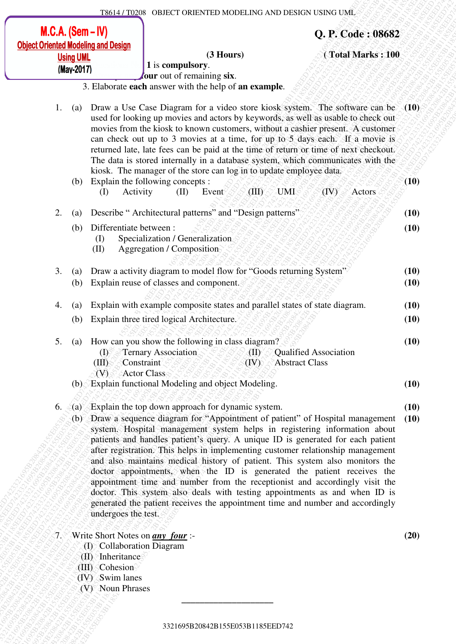|      | $M.C.A.$ (Sem $-N$ )     |                                                                                                         |                                                                                                                                                                                                                                                                                                                                                                                                                                                                                                                                                                                                                                                                                                                                         |                                    |                                                | Q. P. Code: 08682 |                          |
|------|--------------------------|---------------------------------------------------------------------------------------------------------|-----------------------------------------------------------------------------------------------------------------------------------------------------------------------------------------------------------------------------------------------------------------------------------------------------------------------------------------------------------------------------------------------------------------------------------------------------------------------------------------------------------------------------------------------------------------------------------------------------------------------------------------------------------------------------------------------------------------------------------------|------------------------------------|------------------------------------------------|-------------------|--------------------------|
|      | <b>Using UML</b>         | <b>Object Oriented Modeling and Design</b>                                                              | $(3$ Hours $)$<br>1 is compulsory.                                                                                                                                                                                                                                                                                                                                                                                                                                                                                                                                                                                                                                                                                                      |                                    |                                                | (Total Marks: 100 |                          |
|      | (May-2017)               |                                                                                                         | our out of remaining six.                                                                                                                                                                                                                                                                                                                                                                                                                                                                                                                                                                                                                                                                                                               |                                    |                                                |                   |                          |
|      |                          |                                                                                                         | 3. Elaborate each answer with the help of an example.                                                                                                                                                                                                                                                                                                                                                                                                                                                                                                                                                                                                                                                                                   |                                    |                                                |                   |                          |
| 1.   | (a)<br>(b)               | Activity<br>(I)                                                                                         | Draw a Use Case Diagram for a video store kiosk system. The software can be<br>used for looking up movies and actors by keywords, as well as usable to check out<br>movies from the kiosk to known customers, without a cashier present. A customer<br>can check out up to 3 movies at a time, for up to 5 days each. If a movie is<br>returned late, late fees can be paid at the time of return or time of next checkout.<br>The data is stored internally in a database system, which communicates with the<br>kiosk. The manager of the store can log in to update employee data.<br>Explain the following concepts :<br>(II)<br>Event                                                                                              | (III)                              | UMI                                            | (IV)<br>Actors    | $\setminus (10)$<br>(10) |
| 2.   | $\left( a\right)$        |                                                                                                         | Describe "Architectural patterns" and "Design patterns"                                                                                                                                                                                                                                                                                                                                                                                                                                                                                                                                                                                                                                                                                 |                                    |                                                |                   | (10)                     |
|      | (b)                      | Differentiate between:<br>(I)<br>(II)                                                                   | Specialization / Generalization<br>Aggregation / Composition                                                                                                                                                                                                                                                                                                                                                                                                                                                                                                                                                                                                                                                                            |                                    |                                                |                   | (10)                     |
| 3.   | $\left( a\right)$<br>(b) |                                                                                                         | Draw a activity diagram to model flow for "Goods returning System"<br>Explain reuse of classes and component.                                                                                                                                                                                                                                                                                                                                                                                                                                                                                                                                                                                                                           |                                    |                                                |                   | (10)<br>(10)             |
| 4.   | (a)                      |                                                                                                         | Explain with example composite states and parallel states of state diagram.                                                                                                                                                                                                                                                                                                                                                                                                                                                                                                                                                                                                                                                             |                                    |                                                |                   | (10)                     |
|      | (b)                      |                                                                                                         | Explain three tired logical Architecture.                                                                                                                                                                                                                                                                                                                                                                                                                                                                                                                                                                                                                                                                                               |                                    |                                                |                   | (10)                     |
| 5.   | (a)                      | $\left(\mathrm{D}\right)$<br>(HI)<br>(V)                                                                | How can you show the following in class diagram?<br>Ternary Association<br>Constraint<br>Actor Class                                                                                                                                                                                                                                                                                                                                                                                                                                                                                                                                                                                                                                    | $\langle {\rm II} \rangle$<br>(IV) | <b>Qualified Association</b><br>Abstract Class |                   | (10)                     |
|      |                          |                                                                                                         | (b) Explain functional Modeling and object Modeling.                                                                                                                                                                                                                                                                                                                                                                                                                                                                                                                                                                                                                                                                                    |                                    |                                                |                   | (10)                     |
| 6.   |                          |                                                                                                         | $(a)$ Explain the top down approach for dynamic system.                                                                                                                                                                                                                                                                                                                                                                                                                                                                                                                                                                                                                                                                                 |                                    |                                                |                   | (10)                     |
|      | (b)                      | undergoes the test.                                                                                     | Draw a sequence diagram for "Appointment of patient" of Hospital management<br>system. Hospital management system helps in registering information about<br>patients and handles patient's query. A unique ID is generated for each patient<br>after registration. This helps in implementing customer relationship management<br>and also maintains medical history of patient. This system also monitors the<br>doctor appointments, when the ID is generated the patient receives the<br>appointment time and number from the receptionist and accordingly visit the<br>doctor. This system also deals with testing appointments as and when ID is<br>generated the patient receives the appointment time and number and accordingly |                                    |                                                |                   | (10)                     |
| '7.∛ |                          | (I) Collaboration Diagram<br>$(H)$ Inheritance<br>(III) Cohesion<br>(IV) Swim lanes<br>(V) Noun Phrases | Write Short Notes on <i>any four</i> :-                                                                                                                                                                                                                                                                                                                                                                                                                                                                                                                                                                                                                                                                                                 |                                    |                                                |                   | (20)                     |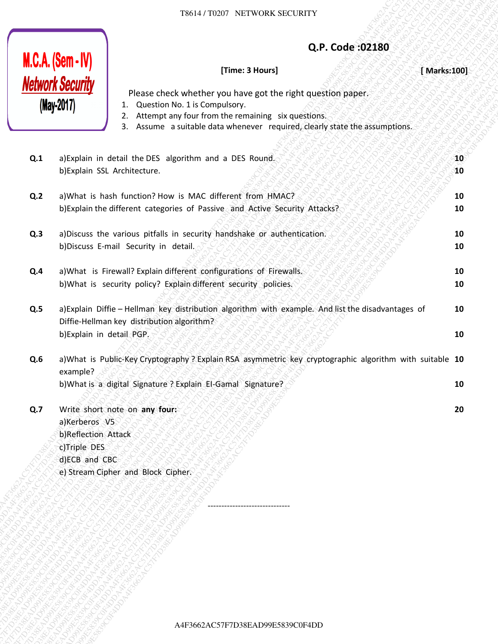### **Q.P. Code :02180**

#### **[Time: 3 Hours]** *<i>f*  $\otimes$   $\otimes$   $\otimes$   $\otimes$   $\otimes$   $\otimes$   $\otimes$  [ Marks:100]

**10 10**

**10 10**

**10 10**

**10 10**

**20**

The case of the case of the case of the case of the control of the case of the control of the case of the case of the control of the case of the case of the case of the case of the case of the case of the case of the case A4F3662AC57F7D38EAD99E5839C0F4DDA4F3662AC57F7D38EAD99E5839C0F4DDA4F3662AC57F7D38EAD99E5839C0F4DDA4F3662AC57F7D38EAD99E5839C0F4DDA4F3662AC57F7D38EAD99E5839C0F4DDA4F3662AC57F7D38EAD99E5839C0F4DD THE CALIF THE CONSULTERTY ACTIVITY COMPANY CONSULTERTY (THE CONSULTERTY COMPANY CONSULTERTY COMPANY CONSULTERTY CONSULTERTY CONSULTERTY CONSULTERTY CONSULTERTY CONSULTERTY CONSULTERTY CONSULTERTY CONSULTERTY CONSULTERTY C 19514 THOMAS ACTEUTY<br> **MCA (Semi-HV)**<br> **Memorial Hamilton Constant Constant Constant Constant Constant Constant Constant Constant Constant Constant Constant Constant Constant Constant Constant Constant Constant Constant C** 3862477038EF SUCHEN COLORES CONSULTER (SECOND 2001)<br>  $\frac{160 \text{Mg} \cdot \text{Mg}}{100 \text{m}^2}$  (The and Street control wenter requirements appear to the method control wenter and the street control wenter and the street control A4F3662AC57F7D38EAD99E5839C0F4DDA4F3662AC57F7D38EAD99E5839C0F4DDA4F3662AC57F7D38EAD99E5839C0F4DDA4F3662AC57F7D38EAD99E5839C0F4DDA4F3662AC57F7D38EAD99E5839C0F4DDA4F3662AC57F7D38EAD99E5839C0F4DD A4F3662AC57F7D38EAD99E5839C0F4DDA4F3662AC57F7D38EAD99E5839C0F4DDA4F3662AC57F7D38EAD99E5839C0F4DDA4F3662AC57F7D38EAD99E5839C0F4DDA4F3662AC57F7D38EAD99E5839C0F4DDA4F3662AC57F7D38EAD99E5839C0F4DD A4F3662AC57F7D38EAD99E5839C0F4DDA4F3662AC57F7D38EAD99E5839C0F4DDA4F3662AC57F7D38EAD99E5839C0F4DDA4F3662AC57F7D38EAD99E5839C0F4DDA4F3662AC57F7D38EAD99E5839C0F4DDA4F3662AC57F7D38EAD99E5839C0F4DD A4F3662AC57F7D38EAD99E5839C0F4DDA4F3662AC57F7D38EAD99E5839C0F4DDA4F3662AC57F7D38EAD99E5839C0F4DDA4F3662AC57F7D38EAD99E5839C0F4DDA4F3662AC57F7D38EAD99E5839C0F4DDA4F3662AC57F7D38EAD99E5839C0F4DD A4F3662AC57F7D38EAD99E5839C0F4DDA4F3662AC57F7D38EAD99E5839C0F4DDA4F3662AC57F7D38EAD99E5839C0F4DDA4F3662AC57F7D38EAD99E5839C0F4DDA4F3662AC57F7D38EAD99E5839C0F4DDA4F3662AC57F7D38EAD99E5839C0F4DD A4F3662AC57F7D38EAD99E5839C0F4DDA4F3662AC57F7D38EAD99E5839C0F4DDA4F3662AC57F7D38EAD99E5839C0F4DDA4F3662AC57F7D38EAD99E5839C0F4DDA4F3662AC57F7D38EAD99E5839C0F4DDA4F3662AC57F7D38EAD99E5839C0F4DD A4F3662AC57F7D38EAD99E5839C0F4DDA4F3662AC57F7D38EAD99E5839C0F4DDA4F3662AC57F7D38EAD99E5839C0F4DDA4F3662AC57F7D38EAD99E5839C0F4DDA4F3662AC57F7D38EAD99E5839C0F4DDA4F3662AC57F7D38EAD99E5839C0F4DD A4F3662AC57F7D38EAD99E5839C0F4DDA4F3662AC57F7D38EAD99E5839C0F4DDA4F3662AC57F7D38EAD99E5839C0F4DDA4F3662AC57F7D38EAD99E5839C0F4DDA4F3662AC57F7D38EAD99E5839C0F4DDA4F3662AC57F7D38EAD99E5839C0F4DD A4F3662AC57F7D38EAD99E5839C0F4DDA4F3662AC57F7D38EAD99E5839C0F4DDA4F3662AC57F7D38EAD99E5839C0F4DDA4F3662AC57F7D38EAD99E5839C0F4DDA4F3662AC57F7D38EAD99E5839C0F4DDA4F3662AC57F7D38EAD99E5839C0F4DD EXECT TO SECOND THE CONSULTION CONSULTION CONSULTION CONSULTION CONSULTION CONSULTION CONSULTION CONSULTION CONSULTION CONSULTION CONSULTION CONSULTION CONSULTION CONSULTION CONSULTION CONSULTION CONSULTION CONSULTION CON 19834-712329 MacHoven MacHoven (202389)<br> **ACSACS620F0P**<br> **ABSENT SECOFFICE CONTRACT VALUE INTO A SURVEY CONTRACT CONTRACT CONTRACT CONTRACT CONTRACT CONTRACT CONTRACT CONTRACT CONTRACT CONTRACT CONTRACT CONTRACT CONTRACT** THE CALCUS COMPANY CONTROL CONTROL CONTROL CONTROL CONTROL CONTROL CONTROL CONTROL CONTROL CONTROL CONTROL CONTROL CONTROL CONTROL CONTROL CONTROL CONTROL CONTROL CONTROL CONTROL CONTROL CONTROL CONTROL CONTROL CONTROL C TROLET THIS OCCUPATION SPATISTIC APPROXIMATE (THE COMPANY THE CONTRACTOR CONTRACTOR CONTRACTOR (THE CONTRACTOR CONTRACTOR CONTRACTOR CONTRACTOR CONTRACTOR CONTRACTOR CONTRACTOR CONTRACTOR CONTRACTOR CONTRACTOR CONTRACTOR The Latitude of The Latitude of The Latitude of The Latitude of The Latitude of The Latitude of The Latitude of The Latitude of The Latitude of The Latitude of The Latitude of The Latitude of The Latitude of The Latitude T6514 TROSP NETWORK SECURITY<br> **ALEX ACSON SECURITY**<br> **A4F267F7**<br> **A4F267F7**<br> **A4F267F7**<br> **A4F267F7**<br> **A4F2662**<br> **A4F266**<br> **A4F266**<br> **A4F266** ACTION AT A CONSIDER WAS CONSIDERED FOR A FIND AND THE SURVEY ON THE SURVEY ON T Please check whether you have got the right question paper. 1. Question No. 1 is Compulsory. 2. Attempt any four from the remaining six questions. 3. Assume a suitable data whenever required, clearly state the assumptions. **Q.1** a)Explain in detail the DES algorithm and a DES Round. b)Explain SSL Architecture. **Q.2** a)What is hash function? How is MAC different from HMAC? b)Explain the different categories of Passive and Active Security Attacks? **Q.3** a)Discuss the various pitfalls in security handshake or authentication. b)Discuss E-mail Security in detail. **Q.4** a)What is Firewall? Explain different configurations of Firewalls.

b)What is security policy? Explain different security policies.

**Q.5** a)Explain Diffie – Hellman key distribution algorithm with example. And list the disadvantages of Diffie-Hellman key distribution algorithm? b)Explain in detail PGP. **10 10**

**Q.6** a)What is Public-Key Cryptography ? Explain RSA asymmetric key cryptographic algorithm with suitable **10** example? b)What is a digital Signature ? Explain EI-Gamal Signature? **10**

**Q.7** Write short note on **any four:** a)Kerberos V5 b)Reflection Attack c)Triple DES d)ECB and CBC e) Stream Cipher and Block Cipher.

------------------------------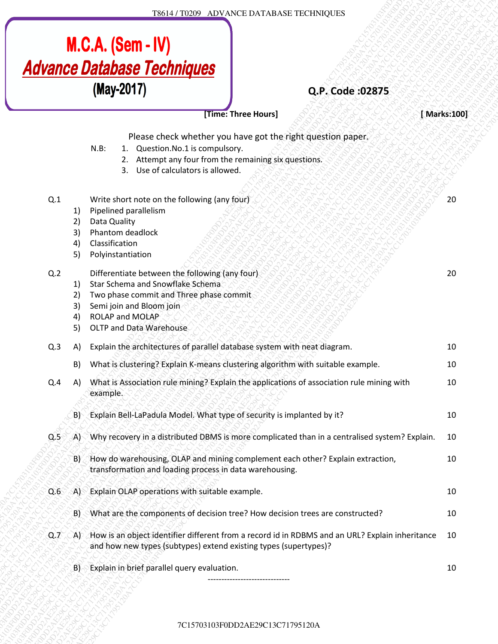

7C15703103F0DD2AE29C13C71795120A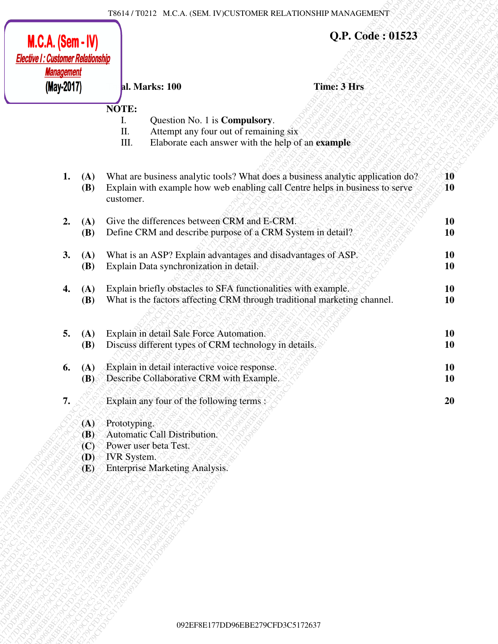| $M.C.A.$ (Sem - IV)<br><b>Elective I: Customer Relationship</b> |                                                                        |                                                                                                                                      | Q.P. Code: 01523                                                                                                                                                |                        |
|-----------------------------------------------------------------|------------------------------------------------------------------------|--------------------------------------------------------------------------------------------------------------------------------------|-----------------------------------------------------------------------------------------------------------------------------------------------------------------|------------------------|
| <b>Management</b><br>(May-2017)                                 |                                                                        | al. Marks: 100                                                                                                                       | <b>Time: 3 Hrs</b>                                                                                                                                              |                        |
|                                                                 |                                                                        | NOTE:<br>Question No. 1 is <b>Compulsory</b> .<br>Ι.<br>П.<br>Attempt any four out of remaining six<br>III.                          | Elaborate each answer with the help of an example                                                                                                               |                        |
| 1.                                                              | (A)<br><b>(B)</b>                                                      | customer.                                                                                                                            | What are business analytic tools? What does a business analytic application do?<br>Explain with example how web enabling call Centre helps in business to serve | 10<br>10               |
| 2.                                                              | (A)<br><b>(B)</b>                                                      | Give the differences between CRM and E-CRM.<br>Define CRM and describe purpose of a CRM System in detail?                            |                                                                                                                                                                 | <b>10</b><br><b>10</b> |
| 3.                                                              | (A)<br><b>(B)</b>                                                      | What is an ASP? Explain advantages and disadvantages of ASP.<br>Explain Data synchronization in detail,                              |                                                                                                                                                                 | <b>10</b><br><b>10</b> |
| 4.                                                              | (A)<br><b>(B)</b>                                                      | Explain briefly obstacles to SFA functionalities with example.                                                                       | What is the factors affecting CRM through traditional marketing channel.                                                                                        | <b>10</b><br>10        |
| 5.                                                              | (A)<br><b>(B)</b>                                                      | Explain in detail Sale Force Automation.<br>Discuss different types of CRM technology in details.                                    |                                                                                                                                                                 | <b>10</b><br>10        |
| 6.                                                              | (A)<br>(B)                                                             | Explain in detail interactive voice response.<br>Describe Collaborative CRM with Example.                                            |                                                                                                                                                                 | <b>10</b><br><b>10</b> |
| 7.                                                              |                                                                        | Explain any four of the following terms :                                                                                            |                                                                                                                                                                 | 20                     |
|                                                                 | (A)<br><b>(B)</b><br>$\left( \mathbf{C}\right)$<br>$\mathbf{D}$<br>(E) | Prototyping.<br>Automatic Call Distribution.<br>Power user beta Test.<br><b>IVR</b> System.<br><b>Enterprise Marketing Analysis.</b> |                                                                                                                                                                 |                        |
|                                                                 |                                                                        |                                                                                                                                      |                                                                                                                                                                 |                        |
|                                                                 |                                                                        |                                                                                                                                      |                                                                                                                                                                 |                        |
|                                                                 |                                                                        |                                                                                                                                      |                                                                                                                                                                 |                        |
|                                                                 |                                                                        |                                                                                                                                      |                                                                                                                                                                 |                        |